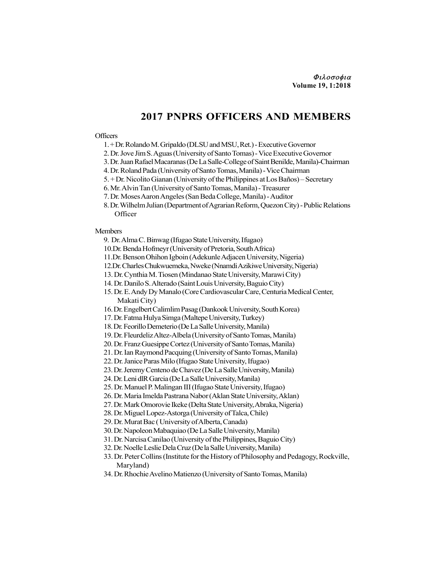## 2017 PNPRS OFFICERS AND MEMBERS

## **Officers**

- 1. + Dr. Rolando M. Gripaldo (DLSU and MSU, Ret.) Executive Governor
- 2. Dr. Jove Jim S. Aguas (University of Santo Tomas) Vice Executive Governor
- 3. Dr. Juan Rafael Macaranas (De La Salle-College of Saint Benilde, Manila)-Chairman
- 4. Dr. Roland Pada (University of Santo Tomas, Manila) Vice Chairman
- 5. + Dr. Nicolito Gianan (University of the Philippines at Los Baños) Secretary
- 6. Mr. Alvin Tan (University of Santo Tomas, Manila) Treasurer
- 7. Dr. Moses Aaron Angeles (San Beda College, Manila) Auditor
- 8. Dr. Wilhelm Julian (Department of Agrarian Reform, Quezon City) Public Relations **Officer**

## Members

- 9. Dr. Alma C. Binwag (Ifugao State University, Ifugao)
- 10.Dr. Benda Hofmeyr (University of Pretoria, South Africa)
- 11.Dr. Benson Ohihon Igboin (Adekunle Adjacen University, Nigeria)
- 12.Dr. Charles Chukwuemeka, Nweke (Nnamdi Azikiwe University, Nigeria)
- 13. Dr. Cynthia M. Tiosen (Mindanao State University, Marawi City)
- 14. Dr. Danilo S. Alterado (Saint Louis University, Baguio City)
- 15. Dr. E. Andy Dy Manalo (Core Cardiovascular Care, Centuria Medical Center, Makati City)
- 16. Dr. Engelbert Calimlim Pasag (Dankook University, South Korea)
- 17. Dr. Fatma Hulya Simga (Maltepe University, Turkey)
- 18. Dr. Feorillo Demeterio (De La Salle University, Manila)
- 19. Dr. Fleurdeliz Altez-Albela (University of Santo Tomas, Manila)
- 20. Dr. Franz Guesippe Cortez (University of Santo Tomas, Manila)
- 21. Dr. Ian Raymond Pacquing (University of Santo Tomas, Manila)
- 22. Dr. Janice Paras Milo (Ifugao State University, Ifugao)
- 23. Dr. Jeremy Centeno de Chavez (De La Salle University, Manila)
- 24. Dr. Leni dlR Garcia (De La Salle University, Manila)
- 25. Dr. Manuel P. Malingan III (Ifugao State University, Ifugao)
- 26. Dr. Maria Imelda Pastrana Nabor (Aklan State University, Aklan)
- 27. Dr. Mark Omorovie Ikeke (Delta State University, Abraka, Nigeria)
- 28. Dr. Miguel Lopez-Astorga (University of Talca, Chile)
- 29. Dr. Murat Bac ( University of Alberta, Canada)
- 30. Dr. Napoleon Mabaquiao (De La Salle University, Manila)
- 31. Dr. Narcisa Canilao (University of the Philippines, Baguio City)
- 32. Dr. Noelle Leslie Dela Cruz (De la Salle University, Manila)
- 33. Dr. Peter Collins (Institute for the History of Philosophy and Pedagogy, Rockville, Maryland)
- 34. Dr. Rhochie Avelino Matienzo (University of Santo Tomas, Manila)